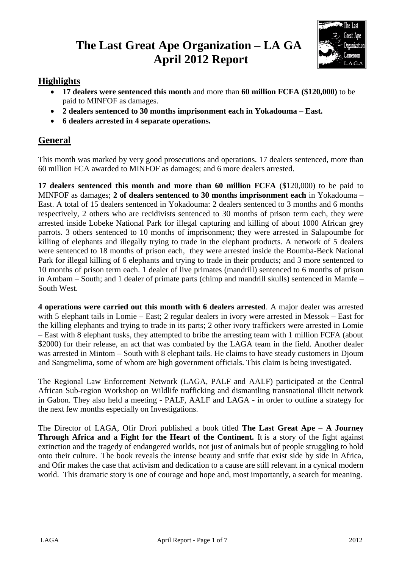# **The Last Great Ape Organization – LA GA April 2012 Report**



# **Highlights**

- **17 dealers were sentenced this month** and more than **60 million FCFA (\$120,000)** to be paid to MINFOF as damages.
- **2 dealers sentenced to 30 months imprisonment each in Yokadouma – East.**
- **6 dealers arrested in 4 separate operations.**

# **General**

This month was marked by very good prosecutions and operations. 17 dealers sentenced, more than 60 million FCA awarded to MINFOF as damages; and 6 more dealers arrested.

**17 dealers sentenced this month and more than 60 million FCFA** (\$120,000) to be paid to MINFOF as damages; **2 of dealers sentenced to 30 months imprisonment each** in Yokadouma – East. A total of 15 dealers sentenced in Yokadouma: 2 dealers sentenced to 3 months and 6 months respectively, 2 others who are recidivists sentenced to 30 months of prison term each, they were arrested inside Lobeke National Park for illegal capturing and killing of about 1000 African grey parrots. 3 others sentenced to 10 months of imprisonment; they were arrested in Salapoumbe for killing of elephants and illegally trying to trade in the elephant products. A network of 5 dealers were sentenced to 18 months of prison each, they were arrested inside the Boumba-Beck National Park for illegal killing of 6 elephants and trying to trade in their products; and 3 more sentenced to 10 months of prison term each. 1 dealer of live primates (mandrill) sentenced to 6 months of prison in Ambam – South; and 1 dealer of primate parts (chimp and mandrill skulls) sentenced in Mamfe – South West.

**4 operations were carried out this month with 6 dealers arrested**. A major dealer was arrested with 5 elephant tails in Lomie – East; 2 regular dealers in ivory were arrested in Messok – East for the killing elephants and trying to trade in its parts; 2 other ivory traffickers were arrested in Lomie – East with 8 elephant tusks, they attempted to bribe the arresting team with 1 million FCFA (about \$2000) for their release, an act that was combated by the LAGA team in the field. Another dealer was arrested in Mintom – South with 8 elephant tails. He claims to have steady customers in Djoum and Sangmelima, some of whom are high government officials. This claim is being investigated.

The Regional Law Enforcement Network (LAGA, PALF and AALF) participated at the Central African Sub-region Workshop on Wildlife trafficking and dismantling transnational illicit network in Gabon. They also held a meeting - PALF, AALF and LAGA - in order to outline a strategy for the next few months especially on Investigations.

The Director of LAGA, Ofir Drori published a book titled **The Last Great Ape – A Journey Through Africa and a Fight for the Heart of the Continent.** It is a story of the fight against extinction and the tragedy of endangered worlds, not just of animals but of people struggling to hold onto their culture. The book reveals the intense beauty and strife that exist side by side in Africa, and Ofir makes the case that activism and dedication to a cause are still relevant in a cynical modern world. This dramatic story is one of courage and hope and, most importantly, a search for meaning.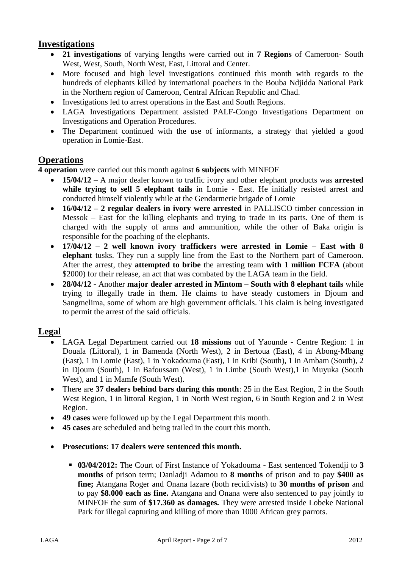## **Investigations**

- **21 investigations** of varying lengths were carried out in **7 Regions** of Cameroon- South West, West, South, North West, East, Littoral and Center.
- More focused and high level investigations continued this month with regards to the hundreds of elephants killed by international poachers in the Bouba Ndjidda National Park in the Northern region of Cameroon, Central African Republic and Chad.
- Investigations led to arrest operations in the East and South Regions.
- LAGA Investigations Department assisted PALF-Congo Investigations Department on Investigations and Operation Procedures.
- The Department continued with the use of informants, a strategy that yielded a good operation in Lomie-East.

### **Operations**

**4 operation** were carried out this month against **6 subjects** with MINFOF

- **15/04/12 –** A major dealer known to traffic ivory and other elephant products was **arrested while trying to sell 5 elephant tails** in Lomie - East. He initially resisted arrest and conducted himself violently while at the Gendarmerie brigade of Lomie
- **16/04/12 – 2 regular dealers in ivory were arrested** in PALLISCO timber concession in Messok – East for the killing elephants and trying to trade in its parts. One of them is charged with the supply of arms and ammunition, while the other of Baka origin is responsible for the poaching of the elephants.
- **17/04/12 – 2 well known ivory traffickers were arrested in Lomie – East with 8 elephant** tusks. They run a supply line from the East to the Northern part of Cameroon. After the arrest, they **attempted to bribe** the arresting team **with 1 million FCFA** (about \$2000) for their release, an act that was combated by the LAGA team in the field.
- **28/04/12** Another **major dealer arrested in Mintom – South with 8 elephant tails** while trying to illegally trade in them. He claims to have steady customers in Djoum and Sangmelima, some of whom are high government officials. This claim is being investigated to permit the arrest of the said officials.

#### **Legal**

- LAGA Legal Department carried out **18 missions** out of Yaounde Centre Region: 1 in Douala (Littoral), 1 in Bamenda (North West), 2 in Bertoua (East), 4 in Abong-Mbang (East), 1 in Lomie (East), 1 in Yokadouma (East), 1 in Kribi (South), 1 in Ambam (South), 2 in Djoum (South), 1 in Bafoussam (West), 1 in Limbe (South West),1 in Muyuka (South West), and 1 in Mamfe (South West).
- There are **37 dealers behind bars during this month**: 25 in the East Region, 2 in the South West Region, 1 in littoral Region, 1 in North West region, 6 in South Region and 2 in West Region.
- **49 cases** were followed up by the Legal Department this month.
- **45 cases** are scheduled and being trailed in the court this month.
- **Prosecutions**: **17 dealers were sentenced this month.**
	- **03/04/2012:** The Court of First Instance of Yokadouma East sentenced Tokendji to **3 months** of prison term; Danladji Adamou to **8 months** of prison and to pay **\$400 as fine;** Atangana Roger and Onana lazare (both recidivists) to **30 months of prison** and to pay **\$8.000 each as fine.** Atangana and Onana were also sentenced to pay jointly to MINFOF the sum of **\$17.360 as damages.** They were arrested inside Lobeke National Park for illegal capturing and killing of more than 1000 African grey parrots.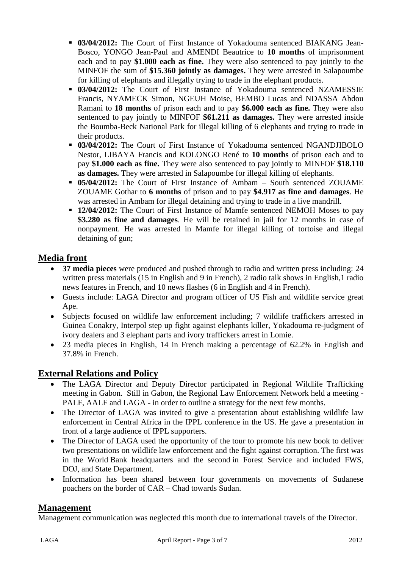- **03/04/2012:** The Court of First Instance of Yokadouma sentenced BIAKANG Jean-Bosco, YONGO Jean-Paul and AMENDI Beautrice to **10 months** of imprisonment each and to pay **\$1.000 each as fine.** They were also sentenced to pay jointly to the MINFOF the sum of **\$15.360 jointly as damages.** They were arrested in Salapoumbe for killing of elephants and illegally trying to trade in the elephant products.
- **03/04/2012:** The Court of First Instance of Yokadouma sentenced NZAMESSIE Francis, NYAMECK Simon, NGEUH Moise, BEMBO Lucas and NDASSA Abdou Ramani to **18 months** of prison each and to pay **\$6.000 each as fine.** They were also sentenced to pay jointly to MINFOF **\$61.211 as damages.** They were arrested inside the Boumba-Beck National Park for illegal killing of 6 elephants and trying to trade in their products.
- **03/04/2012:** The Court of First Instance of Yokadouma sentenced NGANDJIBOLO Nestor, LIBAYA Francis and KOLONGO René to **10 months** of prison each and to pay **\$1.000 each as fine.** They were also sentenced to pay jointly to MINFOF **\$18.110 as damages.** They were arrested in Salapoumbe for illegal killing of elephants.
- **05/04/2012:** The Court of First Instance of Ambam South sentenced ZOUAME ZOUAME Gothar to **6 months** of prison and to pay **\$4.917 as fine and damages**. He was arrested in Ambam for illegal detaining and trying to trade in a live mandrill.
- **12/04/2012:** The Court of First Instance of Mamfe sentenced NEMOH Moses to pay **\$3.280 as fine and damages**. He will be retained in jail for 12 months in case of nonpayment. He was arrested in Mamfe for illegal killing of tortoise and illegal detaining of gun;

# **Media front**

- **37 media pieces** were produced and pushed through to radio and written press including: 24 written press materials (15 in English and 9 in French), 2 radio talk shows in English, 1 radio news features in French, and 10 news flashes (6 in English and 4 in French).
- Guests include: LAGA Director and program officer of US Fish and wildlife service great Ape.
- Subjects focused on wildlife law enforcement including; 7 wildlife traffickers arrested in Guinea Conakry, Interpol step up fight against elephants killer, Yokadouma re-judgment of ivory dealers and 3 elephant parts and ivory traffickers arrest in Lomie.
- 23 media pieces in English, 14 in French making a percentage of 62.2% in English and 37.8% in French.

# **External Relations and Policy**

- The LAGA Director and Deputy Director participated in Regional Wildlife Trafficking meeting in Gabon. Still in Gabon, the Regional Law Enforcement Network held a meeting - PALF, AALF and LAGA - in order to outline a strategy for the next few months.
- The Director of LAGA was invited to give a presentation about establishing wildlife law enforcement in Central Africa in the IPPL conference in the US. He gave a presentation in front of a large audience of IPPL supporters.
- The Director of LAGA used the opportunity of the tour to promote his new book to deliver two presentations on wildlife law enforcement and the fight against corruption. The first was in the World Bank headquarters and the second in Forest Service and included FWS, DOJ, and State Department.
- Information has been shared between four governments on movements of Sudanese poachers on the border of CAR – Chad towards Sudan.

### **Management**

Management communication was neglected this month due to international travels of the Director.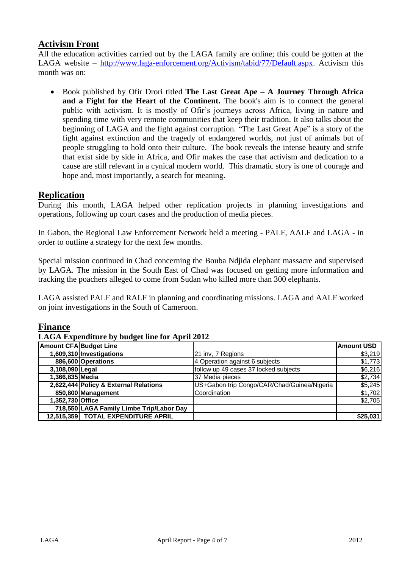# **Activism Front**

All the education activities carried out by the LAGA family are online; this could be gotten at the LAGA website – [http://www.laga-enforcement.org/Activism/tabid/77/Default.aspx.](http://www.laga-enforcement.org/Activism/tabid/77/Default.aspx) Activism this month was on:

 Book published by Ofir Drori titled **The Last Great Ape – A Journey Through Africa and a Fight for the Heart of the Continent.** The book's aim is to connect the general public with activism. It is mostly of Ofir's journeys across Africa, living in nature and spending time with very remote communities that keep their tradition. It also talks about the beginning of LAGA and the fight against corruption. "The Last Great Ape" is a story of the fight against extinction and the tragedy of endangered worlds, not just of animals but of people struggling to hold onto their culture. The book reveals the intense beauty and strife that exist side by side in Africa, and Ofir makes the case that activism and dedication to a cause are still relevant in a cynical modern world. This dramatic story is one of courage and hope and, most importantly, a search for meaning.

#### **Replication**

During this month, LAGA helped other replication projects in planning investigations and operations, following up court cases and the production of media pieces.

In Gabon, the Regional Law Enforcement Network held a meeting - PALF, AALF and LAGA - in order to outline a strategy for the next few months.

Special mission continued in Chad concerning the Bouba Ndjida elephant massacre and supervised by LAGA. The mission in the South East of Chad was focused on getting more information and tracking the poachers alleged to come from Sudan who killed more than 300 elephants.

LAGA assisted PALF and RALF in planning and coordinating missions. LAGA and AALF worked on joint investigations in the South of Cameroon.

#### **Finance**

#### **LAGA Expenditure by budget line for April 2012**

| <b>Amount CFA Budget Line</b> |                                          |                                             | <b>Amount USD</b> |
|-------------------------------|------------------------------------------|---------------------------------------------|-------------------|
|                               | 1,609,310 Investigations                 | 21 inv, 7 Regions                           | \$3,219           |
|                               | 886,600 Operations                       | 4 Operation against 6 subjects              | \$1,773           |
| 3,108,090 Legal               |                                          | follow up 49 cases 37 locked subjects       | \$6,216           |
| 1,366,835 Media               |                                          | 37 Media pieces                             | \$2,734           |
|                               | 2,622,444 Policy & External Relations    | US+Gabon trip Congo/CAR/Chad/Guinea/Nigeria | \$5,245           |
|                               | 850,800 Management                       | Coordination                                | \$1,702           |
| 1,352,730 Office              |                                          |                                             | \$2,705           |
|                               | 718,550 LAGA Family Limbe Trip/Labor Day |                                             |                   |
|                               | 12,515,359 TOTAL EXPENDITURE APRIL       |                                             | \$25,031          |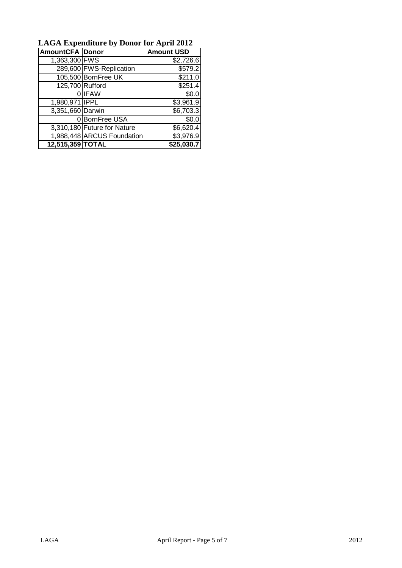| LAGA Expenditure by Donor for April 2012 |                             |                   |  |  |
|------------------------------------------|-----------------------------|-------------------|--|--|
| <b>AmountCFA Donor</b>                   |                             | <b>Amount USD</b> |  |  |
| 1,363,300 FWS                            |                             | \$2,726.6         |  |  |
|                                          | 289,600 FWS-Replication     | \$579.2           |  |  |
|                                          | 105,500 BornFree UK         | \$211.0           |  |  |
| 125,700 Rufford                          |                             | \$251.4           |  |  |
|                                          | <b>IFAW</b>                 | \$0.0             |  |  |
| 1,980,971 IPPL                           |                             | \$3,961.9         |  |  |
| 3,351,660 Darwin                         |                             | \$6,703.3         |  |  |
|                                          | 0 BornFree USA              | \$0.0             |  |  |
|                                          | 3,310,180 Future for Nature | \$6,620.4         |  |  |
|                                          | 1,988,448 ARCUS Foundation  | \$3,976.9         |  |  |
| 12,515,359 TOTAL                         |                             | \$25,030.7        |  |  |

**LAGA Expenditure by Donor for April 2012**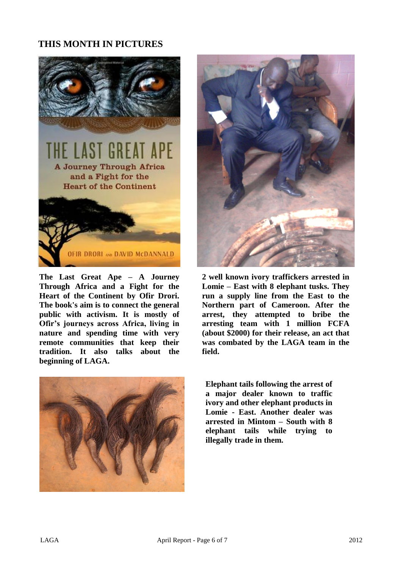# **THIS MONTH IN PICTURES**



**The Last Great Ape – A Journey Through Africa and a Fight for the Heart of the Continent by Ofir Drori. The book's aim is to connect the general public with activism. It is mostly of Ofir's journeys across Africa, living in nature and spending time with very remote communities that keep their tradition. It also talks about the beginning of LAGA.**





**2 well known ivory traffickers arrested in Lomie – East with 8 elephant tusks. They run a supply line from the East to the Northern part of Cameroon. After the arrest, they attempted to bribe the arresting team with 1 million FCFA (about \$2000) for their release, an act that was combated by the LAGA team in the field.**

**Elephant tails following the arrest of a major dealer known to traffic ivory and other elephant products in Lomie - East. Another dealer was arrested in Mintom – South with 8 elephant tails while trying to illegally trade in them.**